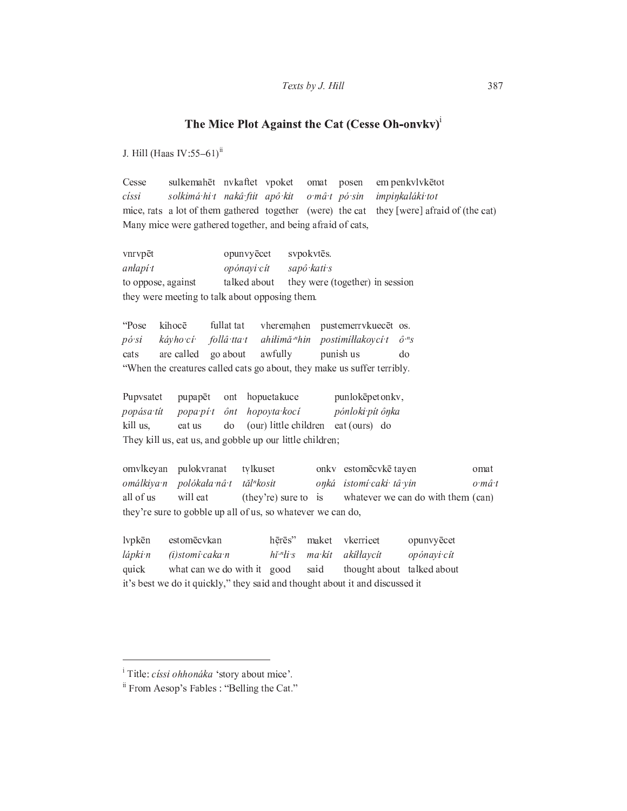## Texts by J. Hill

## The Mice Plot Against the Cat (Cesse Oh-onvkv)<sup>1</sup>

J. Hill (Haas IV:55-61)<sup>ii</sup>

Cesse sulkemahēt nvkaftet vpoket em penkvlvkētot omat posen císsi solkimá hi t nakâ ftit apô kit o mâ t pó sin impinkaláki tot mice, rats a lot of them gathered together (were) the cat they [were] afraid of (the cat) Many mice were gathered together, and being afraid of cats,

vnrvpēt opunvyēcet svpokvtēs. sapô kati s anlapí t opónayi cít to oppose, against talked about they were (together) in session they were meeting to talk about opposing them.

kihocē fullat tat "Pose vheremahen pustemerrvkuecēt os. kávho cí follâ tta t ahilimă "hin postimillakoyci t  $\hat{o}$ "s  $p\acute{o}$  si are called go about awfully punish us cats  $d<sub>o</sub>$ "When the creatures called cats go about, they make us suffer terribly.

Pupysatet hopuetakuce punlokēpetonkv, pupapēt ont popása tít popa pí t hopoyta kocí pónloki pít ônka  $\hat{O}nt$ kill us, eat us (our) little children eat (ours) do do They kill us, eat us, and gobble up our little children;

omvlkeyan pulokvranat tvlkuset onkv estomēcvkē tayen omat omálkiya n polókała nâ t tăl<sup>n</sup>kosit onká istomí caki tâ yin  $o{\cdot}m\hat{a}{\cdot}t$ all of us will eat whatever we can do with them (can) (they're) sure to is they're sure to gobble up all of us, so whatever we can do,

estomēcvkan hērēs" vkerricet lvpkēn maket opunvyēcet  $h\check{i}$ <sup>*n* $h$ </sup>*i* s  $max$ lápki n (i)stomî caka n akillaycit opónayi cít thought about talked about quick what can we do with it good said it's best we do it quickly," they said and thought about it and discussed it

<sup>&</sup>lt;sup>i</sup> Title: *císsi ohhonáka* 'story about mice'.

<sup>&</sup>quot;From Aesop's Fables : "Belling the Cat."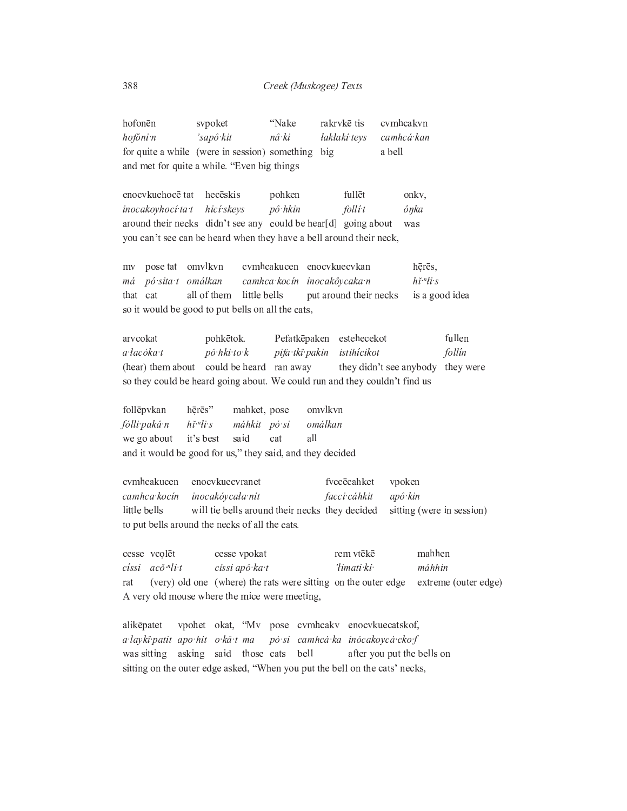| hofonēn                                      | sypoket                                           | ''Nake | rakrykē tis evmheakyn   |        |
|----------------------------------------------|---------------------------------------------------|--------|-------------------------|--------|
| hofóni n                                     | 'sapô kit                                         | nâ ki  | laklakí tevs camhcá kan |        |
|                                              | for quite a while (were in session) something big |        |                         | a bell |
| and met for quite a while. "Even big things" |                                                   |        |                         |        |

enocykuehocē tat hecēskis pohken fullet onkv,  $p\hat{o}$ ·hkin inocakoyhocí ta t hicí skeys  $folli<sub>t</sub>$ ônka around their necks didn't see any could be hear[d] going about was you can't see can be heard when they have a bell around their neck,

omvlkvn cvmhcakucen enocvkuecvkan hērēs, pose tat mv pó sita t omálkan camhca kocín inocakôycaka n  $hi<sup>n</sup>li·s$ má that cat all of them little bells put around their necks is a good idea so it would be good to put bells on all the cats,

arvcokat Pefatkēpaken estehecekot fullen pohkētok. a łacóka t  $p\hat{o}$  hki to k pifa tkî pakin istihícikot follin (hear) them about could be heard ran away they didn't see anybody they were so they could be heard going about. We could run and they couldn't find us

omvlkvn follēpvkan hērēs" mahket, pose fólli pakâ n  $h\check{i}$  " $di$  s máhkit pósi omálkan we go about it's best said cat all and it would be good for us," they said, and they decided

cvmhcakucen enocykuecyranet fvccēcahket vpoken camhca kocín inocakóycała nit facci cáhkit apô kin little bells will tie bells around their necks they decided sitting (were in session) to put bells around the necks of all the cats.

cesse vcolēt cesse vpokat rem vtēkē mahhen císsi  $ac\check{o}$ <sup>-n</sup>li t císsi apô ka t 'limati kí máhhin (very) old one (where) the rats were sitting on the outer edge extreme (outer edge) rat A very old mouse where the mice were meeting,

vpohet okat, "Mv pose cvmhcakv enocvkuecatskof, alikēpatet a laykî patit apo hit o kâ t ma pó si camhcá ka inócakoycá cko f was sitting asking said those cats after you put the bells on bell sitting on the outer edge asked, "When you put the bell on the cats' necks,